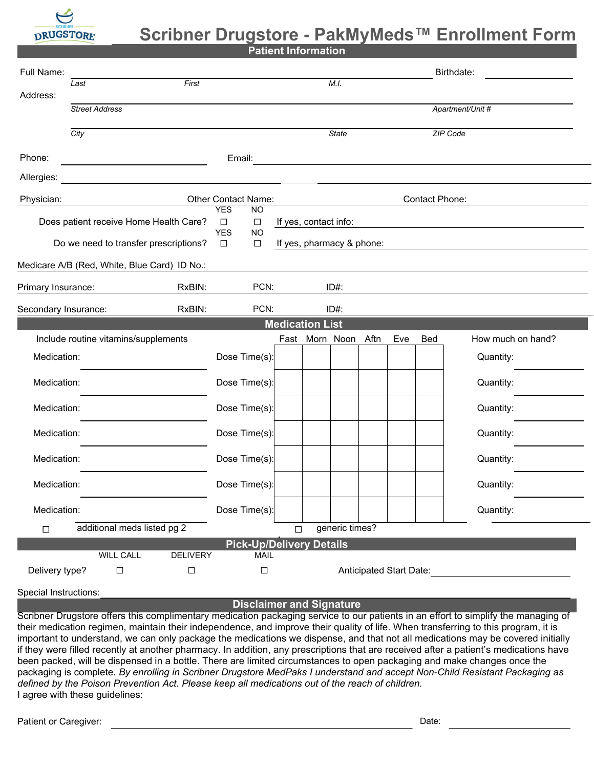

## **Scribner Drugstore - PakMyMeds™ Enrollment Form**

**Patient Information**

| Full Name:                                                                  | Last                                 |                                             | M.I.                                        |                       | Birthdate:                      |                       |                         |           |                   |  |  |
|-----------------------------------------------------------------------------|--------------------------------------|---------------------------------------------|---------------------------------------------|-----------------------|---------------------------------|-----------------------|-------------------------|-----------|-------------------|--|--|
| Address:                                                                    |                                      |                                             |                                             |                       |                                 |                       |                         |           |                   |  |  |
|                                                                             | <b>Street Address</b>                |                                             |                                             |                       | Apartment/Unit #                |                       |                         |           |                   |  |  |
|                                                                             | City                                 |                                             | <b>State</b>                                |                       |                                 |                       | ZIP Code                |           |                   |  |  |
| Phone:                                                                      |                                      |                                             | Email:                                      |                       |                                 |                       |                         |           |                   |  |  |
| Allergies:                                                                  |                                      |                                             |                                             |                       |                                 |                       |                         |           |                   |  |  |
| Physician:                                                                  |                                      |                                             | Other Contact Name:                         |                       |                                 | <b>Contact Phone:</b> |                         |           |                   |  |  |
| Does patient receive Home Health Care?                                      |                                      | <b>YES</b><br><b>NO</b><br>$\Box$<br>$\Box$ |                                             | If yes, contact info: |                                 |                       |                         |           |                   |  |  |
| Do we need to transfer prescriptions?                                       |                                      |                                             | <b>YES</b><br><b>NO</b><br>$\Box$<br>$\Box$ |                       |                                 |                       |                         |           |                   |  |  |
| If yes, pharmacy & phone:<br>Medicare A/B (Red, White, Blue Card) ID No.:   |                                      |                                             |                                             |                       |                                 |                       |                         |           |                   |  |  |
|                                                                             |                                      |                                             |                                             |                       |                                 |                       |                         |           |                   |  |  |
| RxBIN:<br>Primary Insurance:                                                |                                      | PCN:                                        | $ID#$ :                                     |                       |                                 |                       |                         |           |                   |  |  |
| PCN:<br>RxBIN:<br>$ID#$ :<br>Secondary Insurance:<br><b>Medication List</b> |                                      |                                             |                                             |                       |                                 |                       |                         |           |                   |  |  |
|                                                                             | Include routine vitamins/supplements |                                             |                                             |                       | Fast Morn Noon Aftn             |                       | Eve                     | Bed       | How much on hand? |  |  |
| Medication:                                                                 |                                      | Dose Time(s):                               |                                             |                       |                                 |                       |                         | Quantity: |                   |  |  |
| Medication:                                                                 |                                      | Dose Time(s):                               |                                             |                       |                                 |                       |                         | Quantity: |                   |  |  |
| Medication:                                                                 |                                      | Dose Time(s):                               |                                             |                       |                                 |                       |                         | Quantity: |                   |  |  |
| Medication:                                                                 |                                      | Dose Time(s):                               |                                             |                       |                                 |                       |                         | Quantity: |                   |  |  |
| Medication:                                                                 |                                      |                                             | Dose Time(s):                               |                       |                                 |                       |                         |           | Quantity:         |  |  |
| Medication:                                                                 |                                      |                                             | Dose Time(s):                               |                       |                                 |                       |                         |           | Quantity:         |  |  |
| Medication:                                                                 |                                      |                                             | Dose Time(s):                               |                       |                                 |                       |                         |           | Quantity:         |  |  |
| generic times?<br>additional meds listed pg 2<br>$\Box$<br>$\Box$           |                                      |                                             |                                             |                       |                                 |                       |                         |           |                   |  |  |
|                                                                             | <b>WILL CALL</b>                     | <b>DELIVERY</b>                             | <b>MAIL</b>                                 |                       | <b>Pick-Up/Delivery Details</b> |                       |                         |           |                   |  |  |
| Delivery type?                                                              | $\Box$                               | $\Box$                                      | $\Box$                                      |                       |                                 |                       | Anticipated Start Date: |           |                   |  |  |
|                                                                             |                                      |                                             |                                             |                       |                                 |                       |                         |           |                   |  |  |

## Special Instructions:

## **Disclaimer and Signature**

Scribner Drugstore offers this complimentary medication packaging service to our patients in an effort to simplify the managing of their medication regimen, maintain their independence, and improve their quality of life. When transferring to this program, it is important to understand, we can only package the medications we dispense, and that not all medications may be covered initially if they were filled recently at another pharmacy. In addition, any prescriptions that are received after a patient's medications have been packed, will be dispensed in a bottle. There are limited circumstances to open packaging and make changes once the packaging is complete. *By enrolling in Scribner Drugstore MedPaks I understand and accept Non-Child Resistant Packaging as defined by the Poison Prevention Act. Please keep all medications out of the reach of children.* I agree with these guidelines: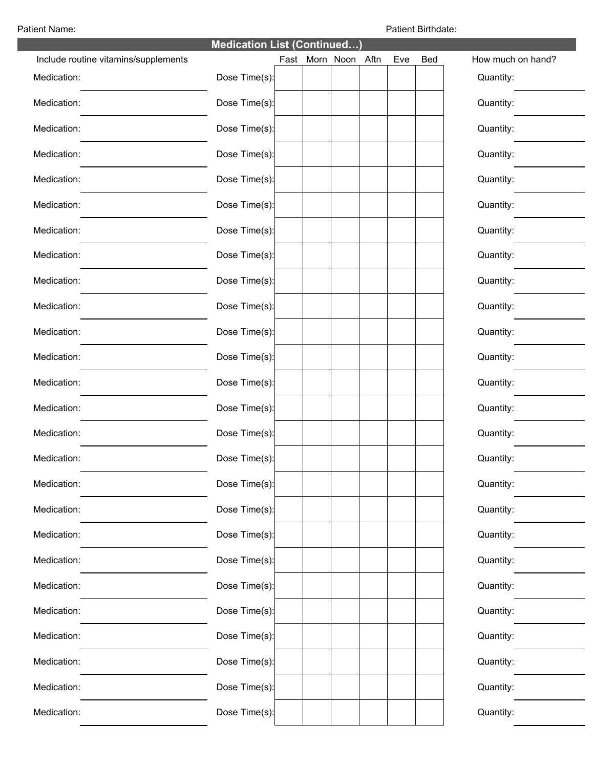Patient Name: Patient Birthdate:

| <b>Medication List (Continued)</b>   |               |  |                     |  |  |     |     |                   |  |  |
|--------------------------------------|---------------|--|---------------------|--|--|-----|-----|-------------------|--|--|
| Include routine vitamins/supplements |               |  | Fast Morn Noon Aftn |  |  | Eve | Bed | How much on hand? |  |  |
| Medication:                          | Dose Time(s): |  |                     |  |  |     |     | Quantity:         |  |  |
| Medication:                          | Dose Time(s): |  |                     |  |  |     |     | Quantity:         |  |  |
| Medication:                          | Dose Time(s): |  |                     |  |  |     |     | Quantity:         |  |  |
| Medication:                          | Dose Time(s): |  |                     |  |  |     |     | Quantity:         |  |  |
| Medication:                          | Dose Time(s): |  |                     |  |  |     |     | Quantity:         |  |  |
| Medication:                          | Dose Time(s): |  |                     |  |  |     |     | Quantity:         |  |  |
| Medication:                          | Dose Time(s): |  |                     |  |  |     |     | Quantity:         |  |  |
| Medication:                          | Dose Time(s): |  |                     |  |  |     |     | Quantity:         |  |  |
| Medication:                          | Dose Time(s): |  |                     |  |  |     |     | Quantity:         |  |  |
| Medication:                          | Dose Time(s): |  |                     |  |  |     |     | Quantity:         |  |  |
| Medication:                          | Dose Time(s): |  |                     |  |  |     |     | Quantity:         |  |  |
| Medication:                          | Dose Time(s): |  |                     |  |  |     |     | Quantity:         |  |  |
| Medication:                          | Dose Time(s): |  |                     |  |  |     |     | Quantity:         |  |  |
| Medication:                          | Dose Time(s): |  |                     |  |  |     |     | Quantity:         |  |  |
| Medication:                          | Dose Time(s): |  |                     |  |  |     |     | Quantity:         |  |  |
| Medication:                          | Dose Time(s): |  |                     |  |  |     |     | Quantity:         |  |  |
| Medication:                          | Dose Time(s): |  |                     |  |  |     |     | Quantity:         |  |  |
| Medication:                          | Dose Time(s): |  |                     |  |  |     |     | Quantity:         |  |  |
| Medication:                          | Dose Time(s): |  |                     |  |  |     |     | Quantity:         |  |  |
| Medication:                          | Dose Time(s): |  |                     |  |  |     |     | Quantity:         |  |  |
| Medication:                          | Dose Time(s): |  |                     |  |  |     |     | Quantity:         |  |  |
| Medication:                          | Dose Time(s): |  |                     |  |  |     |     | Quantity:         |  |  |
| Medication:                          | Dose Time(s): |  |                     |  |  |     |     | Quantity:         |  |  |
| Medication:                          | Dose Time(s): |  |                     |  |  |     |     | Quantity:         |  |  |
| Medication:                          | Dose Time(s): |  |                     |  |  |     |     | Quantity:         |  |  |
| Medication:                          | Dose Time(s): |  |                     |  |  |     |     | Quantity:         |  |  |